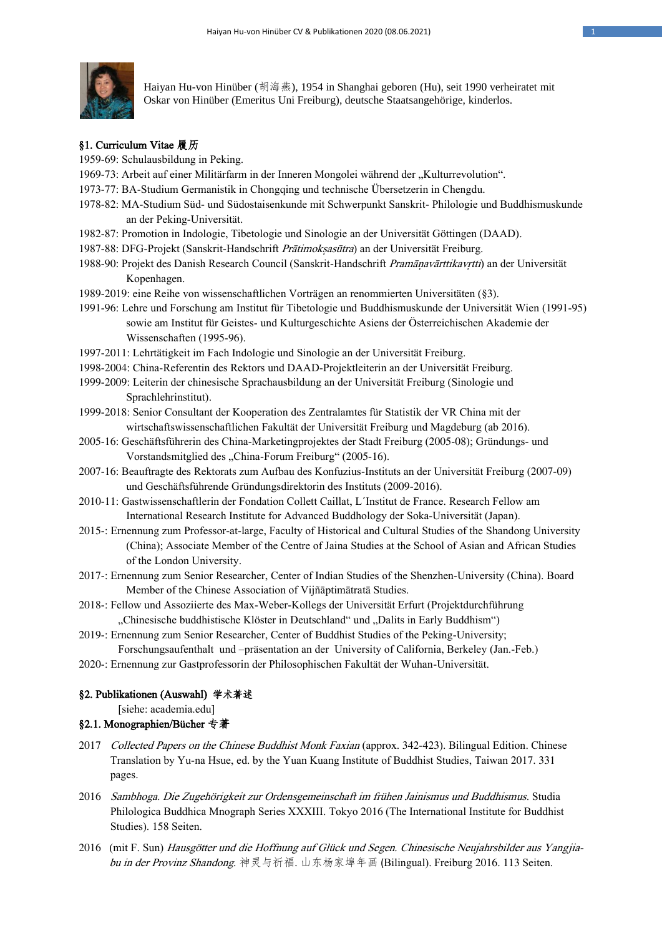

Haiyan Hu-von Hinüber (胡海燕), 1954 in Shanghai geboren (Hu), seit 1990 verheiratet mit Oskar von Hinüber (Emeritus Uni Freiburg), deutsche Staatsangehörige, kinderlos.

# §1. Curriculum Vitae 履历

- 1959-69: Schulausbildung in Peking.
- 1969-73: Arbeit auf einer Militärfarm in der Inneren Mongolei während der "Kulturrevolution".
- 1973-77: BA-Studium Germanistik in Chongqing und technische Übersetzerin in Chengdu.
- 1978-82: MA-Studium Süd- und Südostaisenkunde mit Schwerpunkt Sanskrit- Philologie und Buddhismuskunde an der Peking-Universität.
- 1982-87: Promotion in Indologie, Tibetologie und Sinologie an der Universität Göttingen (DAAD).
- 1987-88: DFG-Projekt (Sanskrit-Handschrift Prātimoksasūtra) an der Universität Freiburg.
- 1988-90: Projekt des Danish Research Council (Sanskrit-Handschrift Pramānavārttikavrtti) an der Universität Kopenhagen.
- 1989-2019: eine Reihe von wissenschaftlichen Vorträgen an renommierten Universitäten (§3).
- 1991-96: Lehre und Forschung am Institut für Tibetologie und Buddhismuskunde der Universität Wien (1991-95) sowie am Institut für Geistes- und Kulturgeschichte Asiens der Österreichischen Akademie der Wissenschaften (1995-96).
- 1997-2011: Lehrtätigkeit im Fach Indologie und Sinologie an der Universität Freiburg.
- 1998-2004: China-Referentin des Rektors und DAAD-Projektleiterin an der Universität Freiburg.
- 1999-2009: Leiterin der chinesische Sprachausbildung an der Universität Freiburg (Sinologie und Sprachlehrinstitut).
- 1999-2018: Senior Consultant der Kooperation des Zentralamtes für Statistik der VR China mit der wirtschaftswissenschaftlichen Fakultät der Universität Freiburg und Magdeburg (ab 2016).
- 2005-16: Geschäftsführerin des China-Marketingprojektes der Stadt Freiburg (2005-08); Gründungs- und Vorstandsmitglied des "China-Forum Freiburg" (2005-16).
- 2007-16: Beauftragte des Rektorats zum Aufbau des Konfuzius-Instituts an der Universität Freiburg (2007-09) und Geschäftsführende Gründungsdirektorin des Instituts (2009-2016).
- 2010-11: Gastwissenschaftlerin der Fondation Collett Caillat, L´Institut de France. Research Fellow am International Research Institute for Advanced Buddhology der Soka-Universität (Japan).
- 2015-: Ernennung zum Professor-at-large, Faculty of Historical and Cultural Studies of the Shandong University (China); Associate Member of the Centre of Jaina Studies at the School of Asian and African Studies of the London University.
- 2017-: Ernennung zum Senior Researcher, Center of Indian Studies of the Shenzhen-University (China). Board Member of the Chinese Association of Vijñāptimātratā Studies.
- 2018-: Fellow und Assoziierte des Max-Weber-Kollegs der Universität Erfurt (Projektdurchführung "Chinesische buddhistische Klöster in Deutschland" und "Dalits in Early Buddhism"),
- 2019-: Ernennung zum Senior Researcher, Center of Buddhist Studies of the Peking-University; Forschungsaufenthalt und –präsentation an der University of California, Berkeley (Jan.-Feb.)
- 2020-: Ernennung zur Gastprofessorin der Philosophischen Fakultät der Wuhan-Universität.

# §2. Publikationen (Auswahl) 学术著述

- [siehe: academia.edu]
- §2.1. Monographien/Bücher 专著
- 2017 Collected Papers on the Chinese Buddhist Monk Faxian (approx. 342-423). Bilingual Edition. Chinese Translation by Yu-na Hsue, ed. by the Yuan Kuang Institute of Buddhist Studies, Taiwan 2017. 331 pages.
- 2016 Sambhoga. Die Zugehörigkeit zur Ordensgemeinschaft im frühen Jainismus und Buddhismus. Studia Philologica Buddhica Mnograph Series XXXIII. Tokyo 2016 (The International Institute for Buddhist Studies). 158 Seiten.
- 2016 (mit F. Sun) Hausgötter und die Hoffnung auf Glück und Segen. Chinesische Neujahrsbilder aus Yangjiabu in der Provinz Shandong. 神灵与祈福.山东杨家埠年画 (Bilingual). Freiburg 2016. 113 Seiten.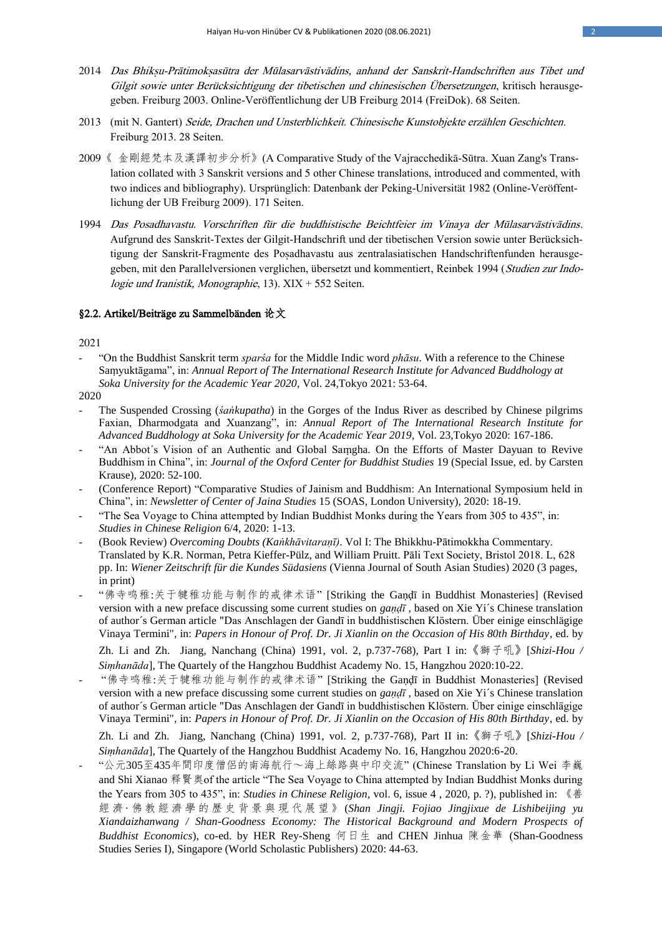- 2014 Das Bhikṣu-Prātimokṣasūtra der Mūlasarvāstivādins, anhand der Sanskrit-Handschriften aus Tibet und Gilgit sowie unter Berücksichtigung der tibetischen und chinesischen Übersetzungen, kritisch herausgegeben. Freiburg 2003. Online-Veröffentlichung der UB Freiburg 2014 (FreiDok). 68 Seiten.
- 2013 (mit N. Gantert) Seide, Drachen und Unsterblichkeit. Chinesische Kunstobjekte erzählen Geschichten. Freiburg 2013. 28 Seiten.
- 2009《 金剛經梵本及漢譯初步分析》(A Comparative Study of the Vajracchedikā-Sūtra. Xuan Zang's Translation collated with 3 Sanskrit versions and 5 other Chinese translations, introduced and commented, with two indices and bibliography). Ursprünglich: Datenbank der Peking-Universität 1982 (Online-Veröffentlichung der UB Freiburg 2009). 171 Seiten.
- 1994 Das Posadhavastu. Vorschriften für die buddhistische Beichtfeier im Vinaya der Mūlasarvāstivādins. Aufgrund des Sanskrit-Textes der Gilgit-Handschrift und der tibetischen Version sowie unter Berücksichtigung der Sanskrit-Fragmente des Poṣadhavastu aus zentralasiatischen Handschriftenfunden herausgegeben, mit den Parallelversionen verglichen, übersetzt und kommentiert, Reinbek 1994 (Studien zur Indologie und Iranistik, Monographie, 13).  $XIX + 552$  Seiten.

## §2.2. Artikel/Beiträge zu Sammelbänden 论文

2021

- "On the Buddhist Sanskrit term *sparśa* for the Middle Indic word *phāsu*. With a reference to the Chinese Saṃyuktāgama", in: *Annual Report of The International Research Institute for Advanced Buddhology at Soka University for the Academic Year 2020*, Vol. 24,Tokyo 2021: 53-64.
- 2020
- The Suspended Crossing (*śaṅkupatha*) in the Gorges of the Indus River as described by Chinese pilgrims Faxian, Dharmodgata and Xuanzang", in: *Annual Report of The International Research Institute for Advanced Buddhology at Soka University for the Academic Year 2019*, Vol. 23,Tokyo 2020: 167-186.
- "An Abbot´s Vision of an Authentic and Global Saṃgha. On the Efforts of Master Dayuan to Revive Buddhism in China", in: *Journal of the Oxford Center for Buddhist Studies* 19 (Special Issue, ed. by Carsten Krause), 2020: 52-100.
- (Conference Report) "Comparative Studies of Jainism and Buddhism: An International Symposium held in China", in: *Newsletter of Center of Jaina Studies* 15 (SOAS, London University), 2020: 18-19.
- "The Sea Voyage to China attempted by Indian Buddhist Monks during the Years from 305 to 435", in: *Studies in Chinese Religion* 6/4, 2020: 1-13.
- (Book Review) *Overcoming Doubts (Kaṅkhāvitaraṇī)*. Vol I: The Bhikkhu-Pātimokkha Commentary. Translated by K.R. Norman, Petra Kieffer-Pülz, and William Pruitt. Pāli Text Society, Bristol 2018. L, 628 pp. In: *Wiener Zeitschrift für die Kundes Südasiens* (Vienna Journal of South Asian Studies) 2020 (3 pages, in print)
- "佛寺鸣稚:关于犍稚功能与制作的戒律术语" [Striking the Gaṇḍī in Buddhist Monasteries] (Revised version with a new preface discussing some current studies on *gaṇḍī* , based on Xie Yi´s Chinese translation of author´s German article "Das Anschlagen der Gandī in buddhistischen Klöstern. Über einige einschlägige Vinaya Termini", in: *Papers in Honour of Prof. Dr. Ji Xianlin on the Occasion of His 80th Birthday*, ed. by

Zh. Li and Zh. Jiang, Nanchang (China) 1991, vol. 2, p.737-768), Part I in:《獅子吼》[*Shizi-Hou / Siṃhanāda*], The Quartely of the Hangzhou Buddhist Academy No. 15, Hangzhou 2020:10-22.

- "佛寺鸣稚:关于犍稚功能与制作的戒律术语" [Striking the Gaṇḍī in Buddhist Monasteries] (Revised version with a new preface discussing some current studies on *gaṇḍī* , based on Xie Yi´s Chinese translation of author´s German article "Das Anschlagen der Gandī in buddhistischen Klöstern. Über einige einschlägige Vinaya Termini", in: *Papers in Honour of Prof. Dr. Ji Xianlin on the Occasion of His 80th Birthday*, ed. by Zh. Li and Zh. Jiang, Nanchang (China) 1991, vol. 2, p.737-768), Part II in:《獅子吼》[*Shizi-Hou / Siṃhanāda*], The Quartely of the Hangzhou Buddhist Academy No. 16, Hangzhou 2020:6-20.
- "公元305至435年間印度僧侶的南海航行~海上絲路與中印交流" (Chinese Translation by Li Wei 李巍 and Shi Xianao 释賢奥of the article "The Sea Voyage to China attempted by Indian Buddhist Monks during the Years from 305 to 435", in: *Studies in Chinese Religion*, vol. 6, issue 4 , 2020, p. ?), published in: 《善 經 濟 · 佛 教 經 濟 學 的 歷 史 背 景 與 現 代 展 望 》 (*Shan Jingji. Fojiao Jingjixue de Lishibeijing yu Xiandaizhanwang / Shan-Goodness Economy: The Historical Background and Modern Prospects of Buddhist Economics*), co-ed. by HER Rey-Sheng 何日生 and CHEN Jinhua 陳金華 (Shan-Goodness Studies Series I), Singapore (World Scholastic Publishers) 2020: 44-63.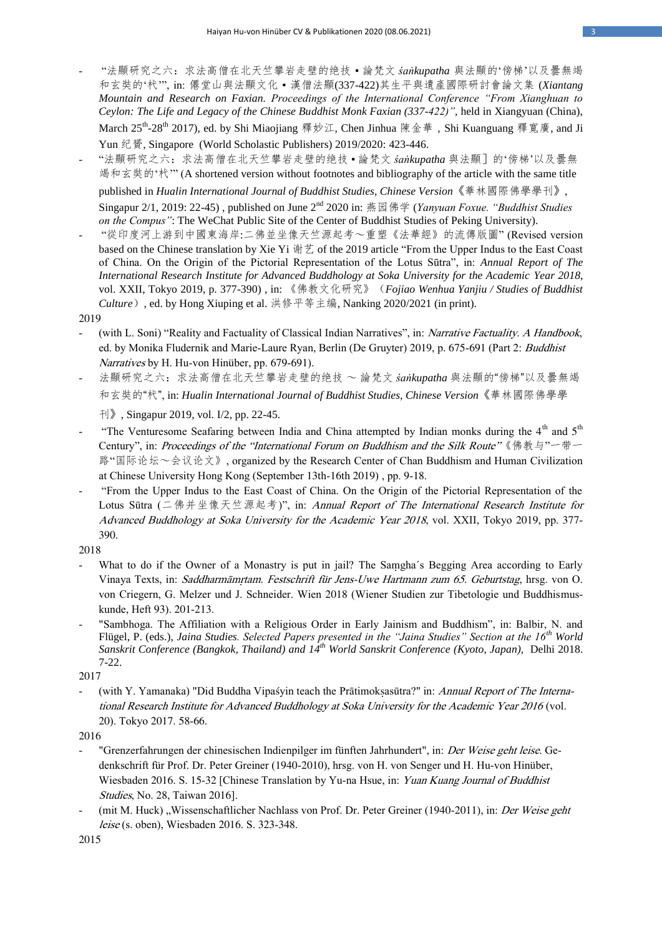- "法顯研究之六:求法高僧在北天竺攀岩走壁的绝技 論梵文 *śaṅkupatha* 與法顯的'傍梯'以及曇無竭 和玄奘的'杙'", in: 僊堂山與法顯文化 ▪ 漢僧法顯(337-422)其生平與遺產國際研討會論文集 (*Xiantang Mountain and Research on Faxian. Proceedings of the International Conference "From Xianghuan to Ceylon: The Life and Legacy of the Chinese Buddhist Monk Faxian (337-422)"*, held in Xiangyuan (China), March 25<sup>th</sup>-28<sup>th</sup> 2017), ed. by Shi Miaojiang 釋妙江, Chen Jinhua 陳金華 , Shi Kuanguang 釋寬廣, and Ji Yun 纪贇, Singapore (World Scholastic Publishers) 2019/2020: 423-446.
- "法顯研究之六:求法高僧在北天竺攀岩走壁的绝技 論梵文 *śaṅkupatha* 與法顯]的'傍梯'以及曇無 竭和玄奘的'杙'" (A shortened version without footnotes and bibliography of the article with the same title published in *Hualin International Journal of Buddhist Studies, Chinese Version*《華林國際佛學學刊》,

Singapur 2/1, 2019: 22-45) , published on June 2nd 2020 in: 燕园佛学 (*Yanyuan Foxue. "Buddhist Studies on the Compus"*: The WeChat Public Site of the Center of Buddhist Studies of Peking University).

- "從印度河上游到中國東海岸:二佛並坐像天竺源起考~重塑《法華經》的流傳版圖" (Revised version based on the Chinese translation by Xie Yi 谢艺 of the 2019 article "From the Upper Indus to the East Coast of China. On the Origin of the Pictorial Representation of the Lotus Sūtra", in: *Annual Report of The International Research Institute for Advanced Buddhology at Soka University for the Academic Year 2018*, vol. XXII, Tokyo 2019, p. 377-390) , in: 《佛教文化研究》(*Fojiao Wenhua Yanjiu / Studies of Buddhist Culture*), ed. by Hong Xiuping et al. 洪修平等主编, Nanking 2020/2021 (in print).

2019

- (with L. Soni) "Reality and Factuality of Classical Indian Narratives", in: Narrative Factuality. A Handbook, ed. by Monika Fludernik and Marie-Laure Ryan, Berlin (De Gruyter) 2019, p. 675-691 (Part 2: Buddhist Narratives by H. Hu-von Hinüber, pp. 679-691).
- [法顯研究之六:求法高僧在北天竺攀岩走壁的绝技](https://www.academia.edu/42978258/_2019e_%E6%B3%95%E9%A1%AF%E7%A0%94%E7%A9%B6%E4%B9%8B%E5%85%AD_%E6%B1%82%E6%B3%95%E9%AB%98%E5%83%A7%E5%9C%A8%E5%8C%97%E5%A4%A9%E7%AB%BA%E6%94%80%E5%B2%A9%E8%B5%B0%E5%A3%81%E7%9A%84%E7%BB%9D%E6%8A%80_%E8%AB%96%E6%A2%B5%E6%96%87_%C5%9Ba%E1%B9%85kupatha_%E8%88%87%E6%B3%95%E9%A1%AF%E7%9A%84_%E5%82%8D%E6%A2%AF_%E4%BB%A5%E5%8F%8A%E6%9B%87%E7%84%A1%E7%AB%AD%E5%92%8C%E7%8E%84%E5%A5%98%E7%9A%84_%E6%9D%99_) ~ 論梵文 *śaṅkupatha* 與法顯的"傍梯"以及曇無竭 [和玄奘的](https://www.academia.edu/42978258/_2019e_%E6%B3%95%E9%A1%AF%E7%A0%94%E7%A9%B6%E4%B9%8B%E5%85%AD_%E6%B1%82%E6%B3%95%E9%AB%98%E5%83%A7%E5%9C%A8%E5%8C%97%E5%A4%A9%E7%AB%BA%E6%94%80%E5%B2%A9%E8%B5%B0%E5%A3%81%E7%9A%84%E7%BB%9D%E6%8A%80_%E8%AB%96%E6%A2%B5%E6%96%87_%C5%9Ba%E1%B9%85kupatha_%E8%88%87%E6%B3%95%E9%A1%AF%E7%9A%84_%E5%82%8D%E6%A2%AF_%E4%BB%A5%E5%8F%8A%E6%9B%87%E7%84%A1%E7%AB%AD%E5%92%8C%E7%8E%84%E5%A5%98%E7%9A%84_%E6%9D%99_)"杙", in: *Hualin International Journal of Buddhist Studies, Chinese Version*《華林國際佛學學

刊》, Singapur 2019, vol. I/2, pp. 22-45.

- "The Venturesome Seafaring between India and China attempted by Indian monks during the 4<sup>th</sup> and 5<sup>th</sup> Century", in: Proceedings of the "International Forum on Buddhism and the Silk Route" 《佛教与"一带一 路"国际论坛~会议论文》, organized by the Research Center of Chan Buddhism and Human Civilization at Chinese University Hong Kong (September 13th-16th 2019) , pp. 9-18.
- "From the Upper Indus to the East Coast of China. On the Origin of the Pictorial Representation of the Lotus Sūtra (二佛并坐像天竺源起考)", in: Annual Report of The International Research Institute for Advanced Buddhology at Soka University for the Academic Year 2018, vol. XXII, Tokyo 2019, pp. 377- 390.
- 2018
- What to do if the Owner of a Monastry is put in jail? The Samgha's Begging Area according to Early Vinaya Texts, in: Saddharmāmṛtam. Festschrift für Jens-Uwe Hartmann zum 65. Geburtstag, hrsg. von O. von Criegern, G. Melzer und J. Schneider. Wien 2018 (Wiener Studien zur Tibetologie und Buddhismuskunde, Heft 93). 201-213.
- "Sambhoga. The Affiliation with a Religious Order in Early Jainism and Buddhism", in: Balbir, N. and Flügel, P. (eds.), *Jaina Studies. Selected Papers presented in the "Jaina Studies" Section at the 16th World Sanskrit Conference (Bangkok, Thailand) and 14th World Sanskrit Conference (Kyoto, Japan),* Delhi 2018. 7-22.

2017

(with Y. Yamanaka) "Did Buddha Vipaśyin teach the Prātimoksasūtra?" in: Annual Report of The International Research Institute for Advanced Buddhology at Soka University for the Academic Year 2016 (vol. 20). Tokyo 2017. 58-66.

2016

- "Grenzerfahrungen der chinesischen Indienpilger im fünften Jahrhundert", in: Der Weise geht leise. Gedenkschrift für Prof. Dr. Peter Greiner (1940-2010), hrsg. von H. von Senger und H. Hu-von Hinüber, Wiesbaden 2016. S. 15-32 [Chinese Translation by Yu-na Hsue, in: Yuan Kuang Journal of Buddhist Studies, No. 28, Taiwan 2016].
- (mit M. Huck) "Wissenschaftlicher Nachlass von Prof. Dr. Peter Greiner (1940-2011), in: Der Weise geht leise (s. oben), Wiesbaden 2016. S. 323-348.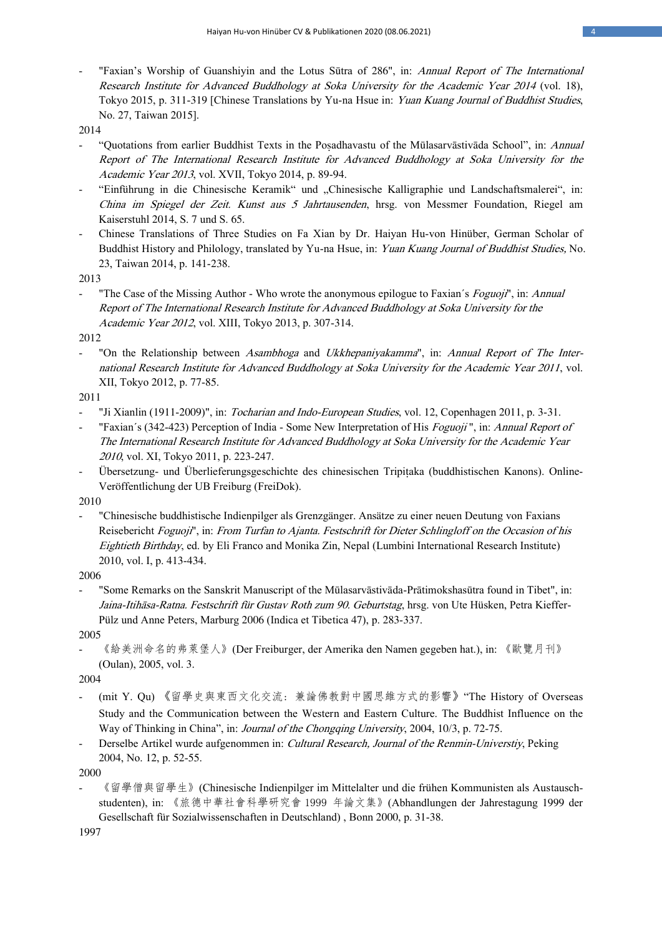"Faxian's Worship of Guanshiyin and the Lotus Sūtra of 286", in: Annual Report of The International Research Institute for Advanced Buddhology at Soka University for the Academic Year 2014 (vol. 18), Tokyo 2015, p. 311-319 [Chinese Translations by Yu-na Hsue in: Yuan Kuang Journal of Buddhist Studies, No. 27, Taiwan 2015].

2014

- "Quotations from earlier Buddhist Texts in the Posadhavastu of the Mūlasarvāstivāda School", in: Annual Report of The International Research Institute for Advanced Buddhology at Soka University for the Academic Year 2013, vol. XVII, Tokyo 2014, p. 89-94.
- "Einführung in die Chinesische Keramik" und "Chinesische Kalligraphie und Landschaftsmalerei", in: China im Spiegel der Zeit. Kunst aus 5 Jahrtausenden, hrsg. von Messmer Foundation, Riegel am Kaiserstuhl 2014, S. 7 und S. 65.
- Chinese Translations of Three Studies on Fa Xian by Dr. Haiyan Hu-von Hinüber, German Scholar of Buddhist History and Philology, translated by Yu-na Hsue, in: Yuan Kuang Journal of Buddhist Studies, No. 23, Taiwan 2014, p. 141-238.

2013

"The Case of the Missing Author - Who wrote the anonymous epilogue to Faxian's Foguoji", in: Annual Report of The International Research Institute for Advanced Buddhology at Soka University for the Academic Year 2012, vol. XIII, Tokyo 2013, p. 307-314.

2012

"On the Relationship between Asambhoga and Ukkhepaniyakamma", in: Annual Report of The International Research Institute for Advanced Buddhology at Soka University for the Academic Year 2011, vol. XII, Tokyo 2012, p. 77-85.

2011

- "Ji Xianlin (1911-2009)", in: Tocharian and Indo-European Studies, vol. 12, Copenhagen 2011, p. 3-31.
- "Faxian's (342-423) Perception of India Some New Interpretation of His Foguoji", in: Annual Report of The International Research Institute for Advanced Buddhology at Soka University for the Academic Year <sup>2010</sup>, vol. XI, Tokyo 2011, p. 223-247.
- Übersetzung- und Überlieferungsgeschichte des chinesischen Tripiṭaka (buddhistischen Kanons). Online-Veröffentlichung der UB Freiburg (FreiDok).

2010

- "Chinesische buddhistische Indienpilger als Grenzgänger. Ansätze zu einer neuen Deutung von Faxians Reisebericht Foguoji", in: From Turfan to Ajanta. Festschrift for Dieter Schlingloff on the Occasion of his Eightieth Birthday, ed. by Eli Franco and Monika Zin, Nepal (Lumbini International Research Institute) 2010, vol. I, p. 413-434.

2006

- "Some Remarks on the Sanskrit Manuscript of the Mūlasarvāstivāda-Prātimokshasūtra found in Tibet", in: Jaina-Itihāsa-Ratna. Festschrift für Gustav Roth zum 90. Geburtstag, hrsg. von Ute Hüsken, Petra Kieffer-Pülz und Anne Peters, Marburg 2006 (Indica et Tibetica 47), p. 283-337.

2005

- 《給美洲命名的弗萊堡人》(Der Freiburger, der Amerika den Namen gegeben hat.), in: 《歐覽月刊》 (Oulan), 2005, vol. 3.

2004

- (mit Y. Qu) 《留學史與東西文化交流: 兼論佛教對中國思維方式的影響》"The History of Overseas Study and the Communication between the Western and Eastern Culture. The Buddhist Influence on the Way of Thinking in China", in: Journal of the Chongqing University, 2004, 10/3, p. 72-75.
- Derselbe Artikel wurde aufgenommen in: Cultural Research, Journal of the Renmin-Universtiy, Peking 2004, No. 12, p. 52-55.

2000

《留學僧與留學生》(Chinesische Indienpilger im Mittelalter und die frühen Kommunisten als Austauschstudenten), in: 《旅德中華社會科學研究會 1999 年論文集》(Abhandlungen der Jahrestagung 1999 der Gesellschaft für Sozialwissenschaften in Deutschland) , Bonn 2000, p. 31-38.

1997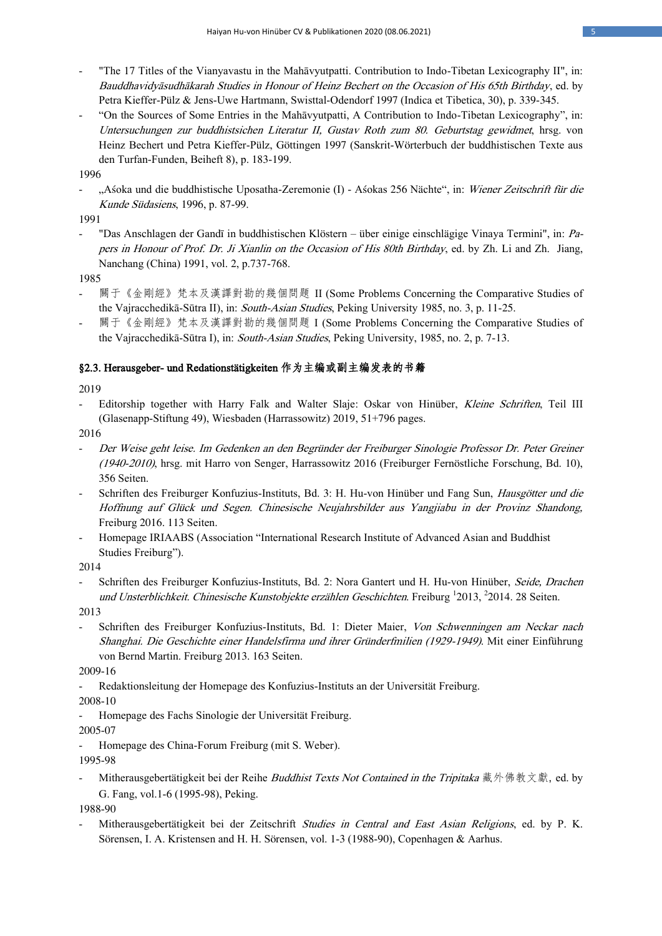- "The 17 Titles of the Vianyavastu in the Mahāvyutpatti. Contribution to Indo-Tibetan Lexicography II", in: Bauddhavidyāsudhākarah Studies in Honour of Heinz Bechert on the Occasion of His 65th Birthday, ed. by Petra Kieffer-Pülz & Jens-Uwe Hartmann, Swisttal-Odendorf 1997 (Indica et Tibetica, 30), p. 339-345.
- "On the Sources of Some Entries in the Mahāvyutpatti, A Contribution to Indo-Tibetan Lexicography", in: Untersuchungen zur buddhistsichen Literatur II, Gustav Roth zum 80. Geburtstag gewidmet, hrsg. von Heinz Bechert und Petra Kieffer-Pülz, Göttingen 1997 (Sanskrit-Wörterbuch der buddhistischen Texte aus den Turfan-Funden, Beiheft 8), p. 183-199.

1996

- "Aśoka und die buddhistische Uposatha-Zeremonie (I) - Aśokas 256 Nächte", in: Wiener Zeitschrift für die Kunde Südasiens, 1996, p. 87-99.

1991

- "Das Anschlagen der Gandī in buddhistischen Klöstern – über einige einschlägige Vinaya Termini", in: Papers in Honour of Prof. Dr. Ji Xianlin on the Occasion of His 80th Birthday, ed. by Zh. Li and Zh. Jiang, Nanchang (China) 1991, vol. 2, p.737-768.

1985

- 關于《金剛經》梵本及漢譯對勘的幾個問題 II (Some Problems Concerning the Comparative Studies of the Vajracchedikā-Sūtra II), in: South-Asian Studies, Peking University 1985, no. 3, p. 11-25.
- 關于《金剛經》梵本及漢譯對勘的幾個問題 I (Some Problems Concerning the Comparative Studies of the Vajracchedikā-Sūtra I), in: South-Asian Studies, Peking University, 1985, no. 2, p. 7-13.

# §2.3. Herausgeber- und Redationstätigkeiten 作为主编或副主编发表的书籍

2019

Editorship together with Harry Falk and Walter Slaje: Oskar von Hinüber, Kleine Schriften, Teil III (Glasenapp-Stiftung 49), Wiesbaden (Harrassowitz) 2019, 51+796 pages.

2016

- Der Weise geht leise. Im Gedenken an den Begründer der Freiburger Sinologie Professor Dr. Peter Greiner (1940-2010), hrsg. mit Harro von Senger, Harrassowitz 2016 (Freiburger Fernöstliche Forschung, Bd. 10), 356 Seiten.
- Schriften des Freiburger Konfuzius-Instituts, Bd. 3: H. Hu-von Hinüber und Fang Sun, Hausgötter und die Hoffnung auf Glück und Segen. Chinesische Neujahrsbilder aus Yangjiabu in der Provinz Shandong, Freiburg 2016. 113 Seiten.
- Homepage IRIAABS (Association "International Research Institute of Advanced Asian and Buddhist Studies Freiburg").

2014

Schriften des Freiburger Konfuzius-Instituts, Bd. 2: Nora Gantert und H. Hu-von Hinüber, Seide, Drachen und Unsterblichkeit. Chinesische Kunstobjekte erzählen Geschichten. Freiburg <sup>1</sup>2013, <sup>2</sup>2014. 28 Seiten.

2013

Schriften des Freiburger Konfuzius-Instituts, Bd. 1: Dieter Maier, Von Schwenningen am Neckar nach Shanghai. Die Geschichte einer Handelsfirma und ihrer Gründerfmilien (1929-1949). Mit einer Einführung von Bernd Martin. Freiburg 2013. 163 Seiten.

2009-16

- Redaktionsleitung der Homepage des Konfuzius-Instituts an der Universität Freiburg.

2008-10

Homepage des Fachs Sinologie der Universität Freiburg.

2005-07

Homepage des China-Forum Freiburg (mit S. Weber).

1995-98

Mitherausgebertätigkeit bei der Reihe *Buddhist Texts Not Contained in the Tripitaka* 藏外佛教文獻, ed. by G. Fang, vol.1-6 (1995-98), Peking.

1988-90

Mitherausgebertätigkeit bei der Zeitschrift Studies in Central and East Asian Religions, ed. by P. K. Sörensen, I. A. Kristensen and H. H. Sörensen, vol. 1-3 (1988-90), Copenhagen & Aarhus.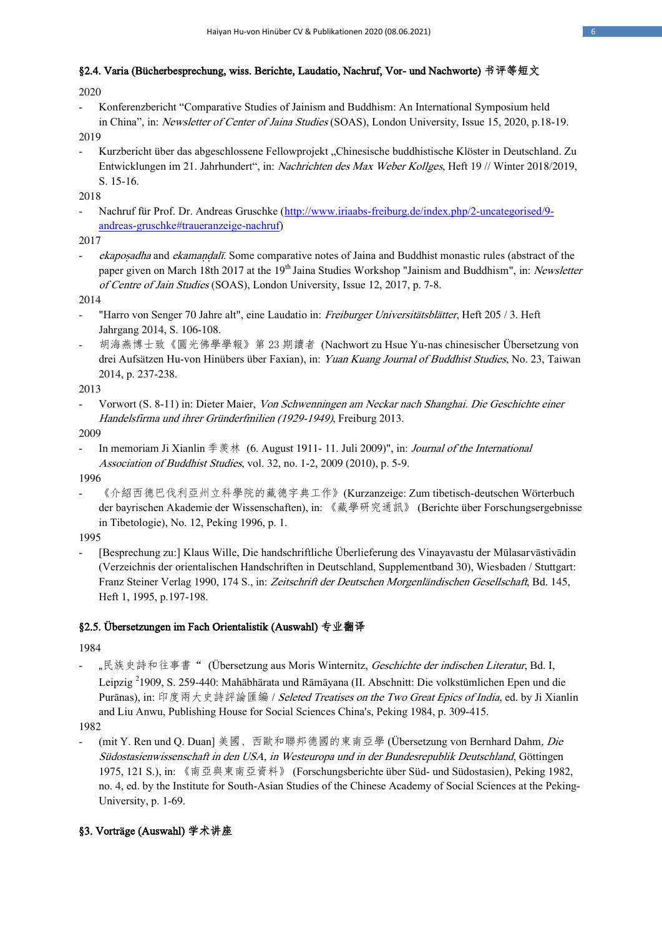# §2.4. Varia (Bücherbesprechung, wiss. Berichte, Laudatio, Nachruf, Vor- und Nachworte) 书评等短文

2020

- Konferenzbericht "Comparative Studies of Jainism and Buddhism: An International Symposium held in China", in: Newsletter of Center of Jaina Studies (SOAS), London University, Issue 15, 2020, p.18-19.

2019

- Kurzbericht über das abgeschlossene Fellowprojekt "Chinesische buddhistische Klöster in Deutschland. Zu Entwicklungen im 21. Jahrhundert", in: Nachrichten des Max Weber Kollges, Heft 19 // Winter 2018/2019, S. 15-16.

2018

Nachruf für Prof. Dr. Andreas Gruschke [\(http://www.iriaabs-freiburg.de/index.php/2-uncategorised/9](http://www.iriaabs-freiburg.de/index.php/2-uncategorised/9-andreas-gruschke#traueranzeige-nachruf) [andreas-gruschke#traueranzeige-nachruf\)](http://www.iriaabs-freiburg.de/index.php/2-uncategorised/9-andreas-gruschke#traueranzeige-nachruf)

2017

ekaposadha and ekamaṇḍalī. Some comparative notes of Jaina and Buddhist monastic rules (abstract of the paper given on March 18th 2017 at the 19<sup>th</sup> Jaina Studies Workshop "Jainism and Buddhism", in: Newsletter of Centre of Jain Studies (SOAS), London University, Issue 12, 2017, p. 7-8.

2014

- "Harro von Senger 70 Jahre alt", eine Laudatio in: Freiburger Universitätsblätter, Heft 205/3. Heft Jahrgang 2014, S. 106-108.
- 胡海燕博士致《圓光佛學學報》第 23 期讀者 (Nachwort zu Hsue Yu-nas chinesischer Übersetzung von drei Aufsätzen Hu-von Hinübers über Faxian), in: Yuan Kuang Journal of Buddhist Studies, No. 23, Taiwan 2014, p. 237-238.

2013

Vorwort (S. 8-11) in: Dieter Maier, Von Schwenningen am Neckar nach Shanghai. Die Geschichte einer Handelsfirma und ihrer Gründerfmilien (1929-1949), Freiburg 2013.

2009

In memoriam Ji Xianlin 季羨林 (6. August 1911- 11. Juli 2009)", in: *Journal of the International* Association of Buddhist Studies, vol. 32, no. 1-2, 2009 (2010), p. 5-9.

1996

- 《介紹西德巴伐利亞州立科學院的藏德字典工作》(Kurzanzeige: Zum tibetisch-deutschen Wörterbuch der bayrischen Akademie der Wissenschaften), in: 《藏學研究通訊》 (Berichte über Forschungsergebnisse in Tibetologie), No. 12, Peking 1996, p. 1.

1995

- [Besprechung zu:] Klaus Wille, Die handschriftliche Überlieferung des Vinayavastu der Mūlasarvāstivādin (Verzeichnis der orientalischen Handschriften in Deutschland, Supplementband 30), Wiesbaden / Stuttgart: Franz Steiner Verlag 1990, 174 S., in: Zeitschrift der Deutschen Morgenländischen Gesellschaft, Bd. 145, Heft 1, 1995, p.197-198.

# §2.5. Übersetzungen im Fach Orientalistik (Auswahl) 专业翻译

1984

"民族史詩和往事書" (Übersetzung aus Moris Winternitz, Geschichte der indischen Literatur, Bd. I, Leipzig <sup>2</sup>1909, S. 259-440: Mahābhārata und Rāmāyana (II. Abschnitt: Die volkstümlichen Epen und die Purānas), in: 印度兩大史詩評論匯編 / Seleted Treatises on the Two Great Epics of India, ed. by Ji Xianlin and Liu Anwu, Publishing House for Social Sciences China's, Peking 1984, p. 309-415.

1982

(mit Y. Ren und Q. Duan] 美國、西歐和聯邦德國的東南亞學 (Übersetzung von Bernhard Dahm, Die Südostasienwissenschaft in den USA, in Westeuropa und in der Bundesrepublik Deutschland, Göttingen 1975, 121 S.), in: 《南亞與東南亞資料》 (Forschungsberichte über Süd- und Südostasien), Peking 1982, no. 4, ed. by the Institute for South-Asian Studies of the Chinese Academy of Social Sciences at the Peking-University, p. 1-69.

# §3. Vorträge (Auswahl) 学术讲座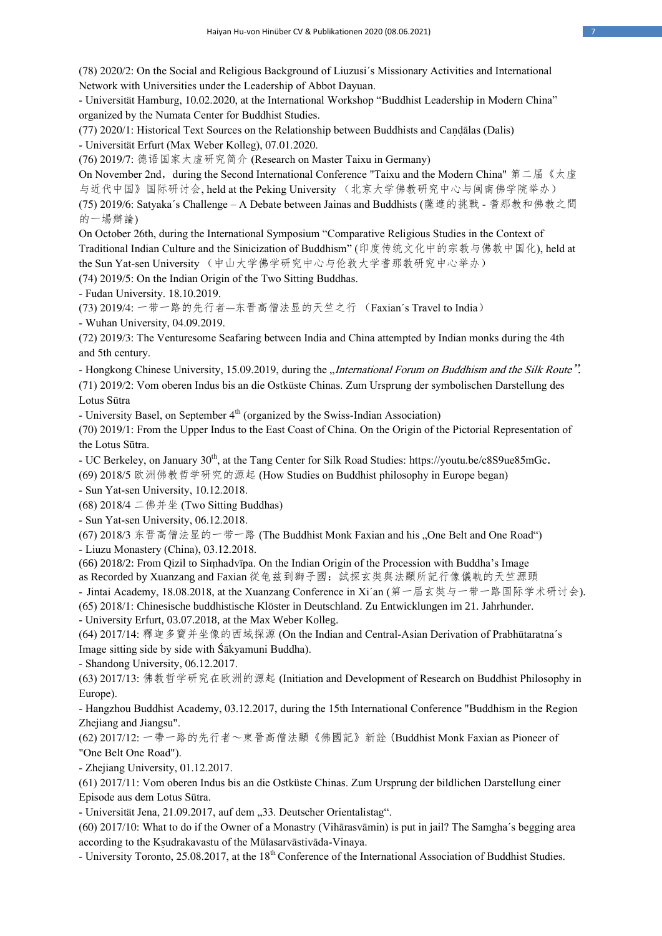(78) 2020/2: On the Social and Religious Background of Liuzusi´s Missionary Activities and International Network with Universities under the Leadership of Abbot Dayuan.

- Universität Hamburg, 10.02.2020, at the International Workshop "Buddhist Leadership in Modern China" organized by the Numata Center for Buddhist Studies.

(77) 2020/1: Historical Text Sources on the Relationship between Buddhists and Caṇḍālas (Dalis)

- Universität Erfurt (Max Weber Kolleg), 07.01.2020.

(76) 2019/7: 德语国家太虚研究简介 (Research on Master Taixu in Germany)

On November 2nd, during the Second International Conference "Taixu and the Modern China" 第二届《太虚 与近代中国》国际研讨会, held at the Peking University (北京大学佛教研究中心与闽南佛学院举办) (75) 2019/6: Satyaka´s Challenge – A Debate between Jainas and Buddhists (薩遮的挑戰 - 耆那教和佛教之間 的一場辯論)

On October 26th, during the International Symposium "Comparative Religious Studies in the Context of Traditional Indian Culture and the Sinicization of Buddhism" (印度传统文化中的宗教与佛教中国化), held at the Sun Yat-sen University (中山大学佛学研究中心与伦敦大学耆那教研究中心举办)

(74) 2019/5: On the Indian Origin of the Two Sitting Buddhas.

- Fudan University. 18.10.2019.

(73) 2019/4: 一带一路的先行者—东晋高僧法显的天竺之行 (Faxian´s Travel to India)

- Wuhan University, 04.09.2019.

(72) 2019/3: The Venturesome Seafaring between India and China attempted by Indian monks during the 4th and 5th century.

- Hongkong Chinese University, 15.09.2019, during the "International Forum on Buddhism and the Silk Route".

(71) 2019/2: Vom oberen Indus bis an die Ostküste Chinas. Zum Ursprung der symbolischen Darstellung des Lotus Sūtra

- University Basel, on September  $4<sup>th</sup>$  (organized by the Swiss-Indian Association)

(70) 2019/1: From the Upper Indus to the East Coast of China. On the Origin of the Pictorial Representation of the Lotus Sūtra.

- UC Berkeley, on January 30<sup>th</sup>, at the Tang Center for Silk Road Studies:<https://youtu.be/c8S9ue85mGc>.

(69) 2018/5 欧洲佛教哲学研究的源起 (How Studies on Buddhist philosophy in Europe began)

- Sun Yat-sen University, 10.12.2018.

(68) 2018/4 二佛并坐 (Two Sitting Buddhas)

- Sun Yat-sen University, 06.12.2018.

(67) 2018/3 东晋高僧法显的一带一路 (The Buddhist Monk Faxian and his "One Belt and One Road") - Liuzu Monastery (China), 03.12.2018.

(66) 2018/2: From Qizil to Siṃhadvīpa. On the Indian Origin of the Procession with Buddha's Image as Recorded by Xuanzang and Faxian 從龟兹到獅子國:試探玄奘與法顯所記行像儀軌的天竺源頭

- Jintai Academy, 18.08.2018, at the Xuanzang Conference in Xi´an (第一届玄奘与一带一路国际学术研讨会).

(65) 2018/1: Chinesische buddhistische Klöster in Deutschland. Zu Entwicklungen im 21. Jahrhunder.

- University Erfurt, 03.07.2018, at the Max Weber Kolleg.

(64) 2017/14: 釋迦多寶并坐像的西域探源 (On the Indian and Central-Asian Derivation of Prabhūtaratna´s Image sitting side by side with Śākyamuni Buddha).

- Shandong University, 06.12.2017.

(63) 2017/13: 佛教哲学研究在欧洲的源起 (Initiation and Development of Research on Buddhist Philosophy in Europe).

- Hangzhou Buddhist Academy, 03.12.2017, during the 15th International Conference "Buddhism in the Region Zhejiang and Jiangsu".

(62) 2017/12: 一帶一路的先行者~東晉高僧法顯《佛國記》新詮 (Buddhist Monk Faxian as Pioneer of "One Belt One Road").

- Zhejiang University, 01.12.2017.

(61) 2017/11: Vom oberen Indus bis an die Ostküste Chinas. Zum Ursprung der bildlichen Darstellung einer Episode aus dem Lotus Sūtra.

- Universität Jena, 21.09.2017, auf dem "33. Deutscher Orientalistag".

(60) 2017/10: What to do if the Owner of a Monastry (Vihārasvāmin) is put in jail? The Samgha´s begging area according to the Kṣudrakavastu of the Mūlasarvāstivāda-Vinaya.

- University Toronto, 25.08.2017, at the 18<sup>th</sup> Conference of the International Association of Buddhist Studies.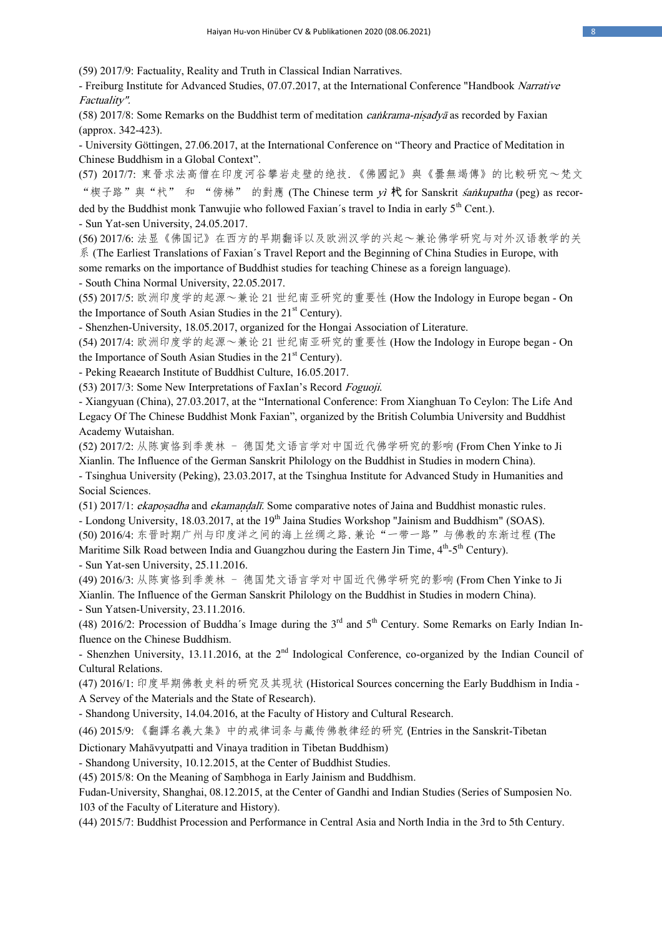(59) 2017/9: Factuality, Reality and Truth in Classical Indian Narratives.

- Freiburg Institute for Advanced Studies, 07.07.2017, at the International Conference "Handbook Narrative Factuality".

(58) 2017/8: Some Remarks on the Buddhist term of meditation *caṅkrama-niṣadyā* as recorded by Faxian (approx. 342-423).

- University Göttingen, 27.06.2017, at the International Conference on "Theory and Practice of Meditation in Chinese Buddhism in a Global Context".

(57) 2017/7: 東晉求法高僧在印度河谷攀岩走壁的绝技.《佛國記》與《曇無竭傳》的比較研究~梵文 "楔子路"與"杙" 和 "傍梯" 的對應 (The Chinese term yì 杙 for Sanskrit śankupatha (peg) as recorded by the Buddhist monk Tanwujie who followed Faxian's travel to India in early 5<sup>th</sup> Cent.).

- Sun Yat-sen University, 24.05.2017.

(56) 2017/6: 法显《佛国记》在西方的早期翻译以及欧洲汉学的兴起~兼论佛学研究与对外汉语教学的关 系 (The Earliest Translations of Faxian´s Travel Report and the Beginning of China Studies in Europe, with

some remarks on the importance of Buddhist studies for teaching Chinese as a foreign language). - South China Normal University, 22.05.2017.

(55) 2017/5: 欧洲印度学的起源~兼论 21 世纪南亚研究的重要性 (How the Indology in Europe began - On the Importance of South Asian Studies in the  $21<sup>st</sup>$  Century).

- Shenzhen-University, 18.05.2017, organized for the Hongai Association of Literature.

(54) 2017/4: 欧洲印度学的起源~兼论 21 世纪南亚研究的重要性 (How the Indology in Europe began - On the Importance of South Asian Studies in the  $21<sup>st</sup>$  Century).

- Peking Reaearch Institute of Buddhist Culture, 16.05.2017.

(53) 2017/3: Some New Interpretations of FaxIan's Record Foguoji.

- Xiangyuan (China), 27.03.2017, at the "International Conference: From Xianghuan To Ceylon: The Life And Legacy Of The Chinese Buddhist Monk Faxian", organized by the British Columbia University and Buddhist Academy Wutaishan.

(52) 2017/2: 从陈寅恪到季羡林 - 德国梵文语言学对中国近代佛学研究的影响 (From Chen Yinke to Ji Xianlin. The Influence of the German Sanskrit Philology on the Buddhist in Studies in modern China).

- Tsinghua University (Peking), 23.03.2017, at the Tsinghua Institute for Advanced Study in Humanities and Social Sciences.

(51) 2017/1: *ekaposadha* and *ekamandalī*. Some comparative notes of Jaina and Buddhist monastic rules. - Londong University, 18.03.2017, at the 19<sup>th</sup> Jaina Studies Workshop "Jainism and Buddhism" (SOAS). (50) 2016/4: 东晋时期广州与印度洋之间的海上丝绸之路.兼论"一带一路"与佛教的东渐过程 (The Maritime Silk Road between India and Guangzhou during the Eastern Jin Time, 4<sup>th</sup>-5<sup>th</sup> Century). - Sun Yat-sen University, 25.11.2016.

(49) 2016/3: 从陈寅恪到季羡林 - 德国梵文语言学对中国近代佛学研究的影响 (From Chen Yinke to Ji Xianlin. The Influence of the German Sanskrit Philology on the Buddhist in Studies in modern China).

- Sun Yatsen-University, 23.11.2016.

(48) 2016/2: Procession of Buddha's Image during the  $3<sup>rd</sup>$  and  $5<sup>th</sup>$  Century. Some Remarks on Early Indian Influence on the Chinese Buddhism.

- Shenzhen University, 13.11.2016, at the  $2<sup>nd</sup>$  Indological Conference, co-organized by the Indian Council of Cultural Relations.

(47) 2016/1: 印度早期佛教史料的研究及其现状 (Historical Sources concerning the Early Buddhism in India - A Servey of the Materials and the State of Research).

- Shandong University, 14.04.2016, at the Faculty of History and Cultural Research.

(46) 2015/9: 《翻譯名義大集》中的戒律词条与藏传佛教律经的研究 (Entries in the Sanskrit-Tibetan

Dictionary Mahāvyutpatti and Vinaya tradition in Tibetan Buddhism)

- Shandong University, 10.12.2015, at the Center of Buddhist Studies.

(45) 2015/8: On the Meaning of Saṃbhoga in Early Jainism and Buddhism.

Fudan-University, Shanghai, 08.12.2015, at the Center of Gandhi and Indian Studies (Series of Sumposien No. 103 of the Faculty of Literature and History).

(44) 2015/7: Buddhist Procession and Performance in Central Asia and North India in the 3rd to 5th Century.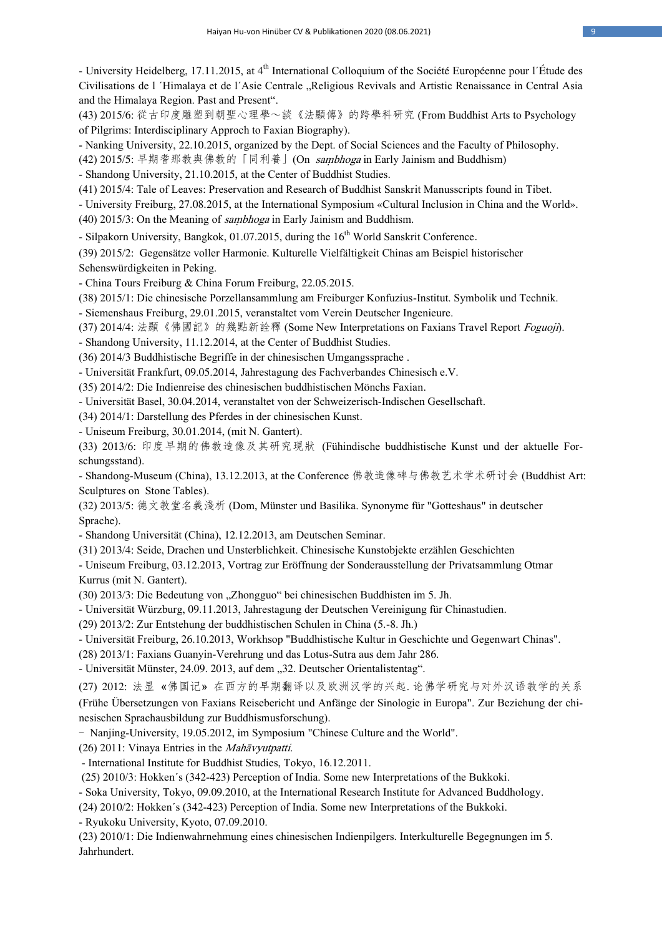- University Heidelberg, 17.11.2015, at 4<sup>th</sup> International Colloquium of the Société Européenne pour l'Étude des Civilisations de l ´Himalaya et de l'Asie Centrale "Religious Revivals and Artistic Renaissance in Central Asia and the Himalaya Region. Past and Present".

(43) 2015/6: 從古印度雕塑到朝聖心理學~談《法顯傳》的跨學科研究 (From Buddhist Arts to Psychology of Pilgrims: Interdisciplinary Approch to Faxian Biography).

- Nanking University, 22.10.2015, organized by the Dept. of Social Sciences and the Faculty of Philosophy.

(42) 2015/5: 早期耆那教與佛教的「同利養」(On saṃbhoga in Early Jainism and Buddhism)

- Shandong University, 21.10.2015, at the Center of Buddhist Studies.

(41) 2015/4: Tale of Leaves: Preservation and Research of Buddhist Sanskrit Manusscripts found in Tibet.

- University Freiburg, 27.08.2015, at the International Symposium «Cultural Inclusion in China and the World». (40) 2015/3: On the Meaning of saṃbhoga in Early Jainism and Buddhism.

- Silpakorn University, Bangkok, 01.07.2015, during the 16<sup>th</sup> World Sanskrit Conference.

(39) 2015/2: Gegensätze voller Harmonie. Kulturelle Vielfältigkeit Chinas am Beispiel historischer Sehenswürdigkeiten in Peking.

- China Tours Freiburg & China Forum Freiburg, 22.05.2015.

(38) 2015/1: Die chinesische Porzellansammlung am Freiburger Konfuzius-Institut. Symbolik und Technik.

- Siemenshaus Freiburg, 29.01.2015, veranstaltet vom Verein Deutscher Ingenieure.

(37) 2014/4: 法顯《佛國記》的幾點新詮釋 (Some New Interpretations on Faxians Travel Report Foguoji).

- Shandong University, 11.12.2014, at the Center of Buddhist Studies.

(36) 2014/3 Buddhistische Begriffe in der chinesischen Umgangssprache .

- Universität Frankfurt, 09.05.2014, Jahrestagung des Fachverbandes Chinesisch e.V.

(35) 2014/2: Die Indienreise des chinesischen buddhistischen Mönchs Faxian.

- Universität Basel, 30.04.2014, veranstaltet von der Schweizerisch-Indischen Gesellschaft.

(34) 2014/1: Darstellung des Pferdes in der chinesischen Kunst.

- Uniseum Freiburg, 30.01.2014, (mit N. Gantert).

(33) 2013/6: 印度早期的佛教造像及其研究現狀 (Fühindische buddhistische Kunst und der aktuelle Forschungsstand).

- Shandong-Museum (China), 13.12.2013, at the Conference 佛教造像碑与佛教艺术学术研讨会 (Buddhist Art: Sculptures on Stone Tables).

(32) 2013/5: 德文教堂名義淺析 (Dom, Münster und Basilika. Synonyme für "Gotteshaus" in deutscher Sprache).

- Shandong Universität (China), 12.12.2013, am Deutschen Seminar.

(31) 2013/4: Seide, Drachen und Unsterblichkeit. Chinesische Kunstobjekte erzählen Geschichten

- Uniseum Freiburg, 03.12.2013, Vortrag zur Eröffnung der Sonderausstellung der Privatsammlung Otmar Kurrus (mit N. Gantert).

(30) 2013/3: Die Bedeutung von "Zhongguo" bei chinesischen Buddhisten im 5. Jh.

- Universität Würzburg, 09.11.2013, Jahrestagung der Deutschen Vereinigung für Chinastudien.

(29) 2013/2: Zur Entstehung der buddhistischen Schulen in China (5.-8. Jh.)

- Universität Freiburg, 26.10.2013, Workhsop "Buddhistische Kultur in Geschichte und Gegenwart Chinas".

(28) 2013/1: Faxians Guanyin-Verehrung und das Lotus-Sutra aus dem Jahr 286.

- Universität Münster, 24.09. 2013, auf dem "32. Deutscher Orientalistentag".

(27) 2012: 法显 «佛国记» 在西方的早期翻译以及欧洲汉学的兴起.论佛学研究与对外汉语教学的关系

(Frühe Übersetzungen von Faxians Reisebericht und Anfänge der Sinologie in Europa". Zur Beziehung der chinesischen Sprachausbildung zur Buddhismusforschung).

- Nanjing-University, 19.05.2012, im Symposium "Chinese Culture and the World".

(26) 2011: Vinaya Entries in the Mahāvyutpatti.

- International Institute for Buddhist Studies, Tokyo, 16.12.2011.

(25) 2010/3: Hokken´s (342-423) Perception of India. Some new Interpretations of the Bukkoki.

- Soka University, Tokyo, 09.09.2010, at the International Research Institute for Advanced Buddhology.

(24) 2010/2: Hokken´s (342-423) Perception of India. Some new Interpretations of the Bukkoki.

- Ryukoku University, Kyoto, 07.09.2010.

(23) 2010/1: Die Indienwahrnehmung eines chinesischen Indienpilgers. Interkulturelle Begegnungen im 5. Jahrhundert.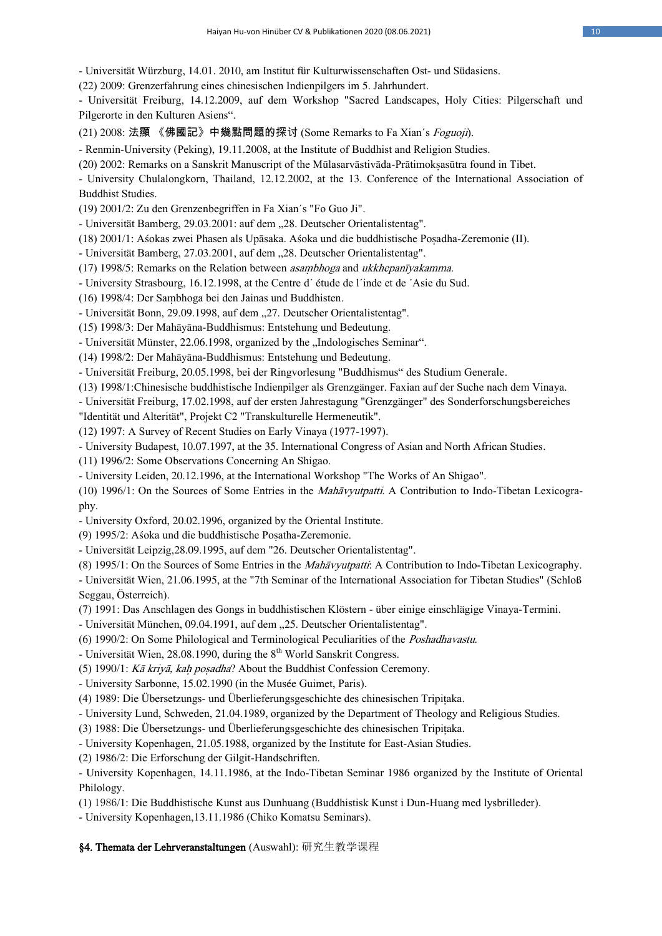- Universität Würzburg, 14.01. 2010, am Institut für Kulturwissenschaften Ost- und Südasiens.

(22) 2009: Grenzerfahrung eines chinesischen Indienpilgers im 5. Jahrhundert.

- Universität Freiburg, 14.12.2009, auf dem Workshop "Sacred Landscapes, Holy Cities: Pilgerschaft und Pilgerorte in den Kulturen Asiens".

(21) 2008: 法顯 《佛國記》中幾點問題的探讨 (Some Remarks to Fa Xian´s Foguoji).

- Renmin-University (Peking), 19.11.2008, at the Institute of Buddhist and Religion Studies.

(20) 2002: Remarks on a Sanskrit Manuscript of the Mūlasarvāstivāda-Prātimokṣasūtra found in Tibet.

- University Chulalongkorn, Thailand, 12.12.2002, at the 13. Conference of the International Association of Buddhist Studies.

(19) 2001/2: Zu den Grenzenbegriffen in Fa Xian´s "Fo Guo Ji".

- Universität Bamberg, 29.03.2001: auf dem "28. Deutscher Orientalistentag".

(18) 2001/1: Aśokas zwei Phasen als Upāsaka. Aśoka und die buddhistische Poṣadha-Zeremonie (II).

- Universität Bamberg, 27.03.2001, auf dem "28. Deutscher Orientalistentag".

(17) 1998/5: Remarks on the Relation between asaṃbhoga and ukkhepanīyakamma.

- University Strasbourg, 16.12.1998, at the Centre d´ étude de l´inde et de ´Asie du Sud.

(16) 1998/4: Der Saṃbhoga bei den Jainas und Buddhisten.

- Universität Bonn, 29.09.1998, auf dem "27. Deutscher Orientalistentag".

(15) 1998/3: Der Mahāyāna-Buddhismus: Entstehung und Bedeutung.

- Universität Münster, 22.06.1998, organized by the "Indologisches Seminar".

(14) 1998/2: Der Mahāyāna-Buddhismus: Entstehung und Bedeutung.

- Universität Freiburg, 20.05.1998, bei der Ringvorlesung "Buddhismus" des Studium Generale.

(13) 1998/1:Chinesische buddhistische Indienpilger als Grenzgänger. Faxian auf der Suche nach dem Vinaya.

- Universität Freiburg, 17.02.1998, auf der ersten Jahrestagung "Grenzgänger" des Sonderforschungsbereiches

"Identität und Alterität", Projekt C2 "Transkulturelle Hermeneutik".

(12) 1997: A Survey of Recent Studies on Early Vinaya (1977-1997).

- University Budapest, 10.07.1997, at the 35. International Congress of Asian and North African Studies.

(11) 1996/2: Some Observations Concerning An Shigao.

- University Leiden, 20.12.1996, at the International Workshop "The Works of An Shigao".

(10) 1996/1: On the Sources of Some Entries in the Mahāvyutpatti. A Contribution to Indo-Tibetan Lexicography.

- University Oxford, 20.02.1996, organized by the Oriental Institute.

(9) 1995/2: Aśoka und die buddhistische Poṣatha-Zeremonie.

- Universität Leipzig,28.09.1995, auf dem "26. Deutscher Orientalistentag".

(8) 1995/1: On the Sources of Some Entries in the Mahāvyutpatti: A Contribution to Indo-Tibetan Lexicography.

- Universität Wien, 21.06.1995, at the "7th Seminar of the International Association for Tibetan Studies" (Schloß Seggau, Österreich).

(7) 1991: Das Anschlagen des Gongs in buddhistischen Klöstern - über einige einschlägige Vinaya-Termini.

- Universität München, 09.04.1991, auf dem "25. Deutscher Orientalistentag".

(6) 1990/2: On Some Philological and Terminological Peculiarities of the Poshadhavastu.

- Universität Wien, 28.08.1990, during the  $8<sup>th</sup>$  World Sanskrit Congress.

(5) 1990/1: Kā kriyā, kaḥ poṣadha? About the Buddhist Confession Ceremony.

- University Sarbonne, 15.02.1990 (in the Musée Guimet, Paris).

(4) 1989: Die Übersetzungs- und Überlieferungsgeschichte des chinesischen Tripiṭaka.

- University Lund, Schweden, 21.04.1989, organized by the Department of Theology and Religious Studies.

(3) 1988: Die Übersetzungs- und Überlieferungsgeschichte des chinesischen Tripiṭaka.

- University Kopenhagen, 21.05.1988, organized by the Institute for East-Asian Studies.

(2) 1986/2: Die Erforschung der Gilgit-Handschriften.

- University Kopenhagen, 14.11.1986, at the Indo-Tibetan Seminar 1986 organized by the Institute of Oriental Philology.

(1) 1986/1: Die Buddhistische Kunst aus Dunhuang (Buddhistisk Kunst i Dun-Huang med lysbrilleder).

- University Kopenhagen,13.11.1986 (Chiko Komatsu Seminars).

§4. Themata der Lehrveranstaltungen (Auswahl): 研究生教学课程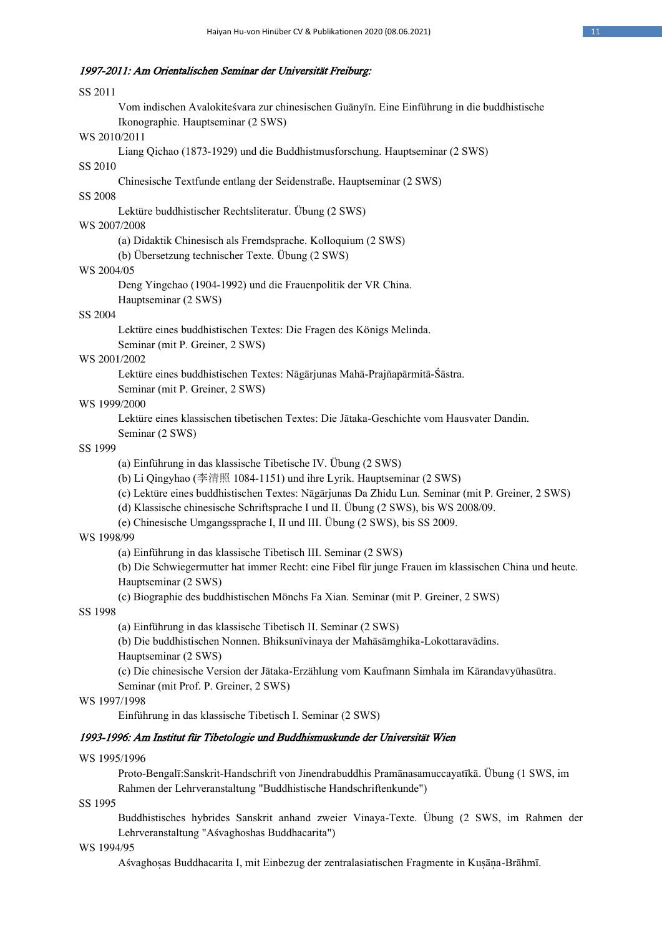### 1997-2011: Am Orientalischen Seminar der Universität Freiburg:

## SS 2011

Vom indischen Avalokiteśvara zur chinesischen Guānyīn. Eine Einführung in die buddhistische Ikonographie. Hauptseminar (2 SWS)

#### WS 2010/2011

Liang Qichao (1873-1929) und die Buddhistmusforschung. Hauptseminar (2 SWS)

## SS 2010

Chinesische Textfunde entlang der Seidenstraße. Hauptseminar (2 SWS)

### SS 2008

Lektüre buddhistischer Rechtsliteratur. Übung (2 SWS)

# WS 2007/2008

(a) Didaktik Chinesisch als Fremdsprache. Kolloquium (2 SWS)

(b) Übersetzung technischer Texte. Übung (2 SWS)

#### WS 2004/05

Deng Yingchao (1904-1992) und die Frauenpolitik der VR China. Hauptseminar (2 SWS)

#### SS 2004

Lektüre eines buddhistischen Textes: Die Fragen des Königs Melinda. Seminar (mit P. Greiner, 2 SWS)

#### WS 2001/2002

Lektüre eines buddhistischen Textes: Nāgārjunas Mahā-Prajñapārmitā-Śāstra.

Seminar (mit P. Greiner, 2 SWS)

#### WS 1999/2000

Lektüre eines klassischen tibetischen Textes: Die Jātaka-Geschichte vom Hausvater Dandin.

Seminar (2 SWS)

### SS 1999

(a) Einführung in das klassische Tibetische IV. Übung (2 SWS)

(b) Li Qingyhao (李清照 1084-1151) und ihre Lyrik. Hauptseminar (2 SWS)

(c) Lektüre eines buddhistischen Textes: Nāgārjunas Da Zhidu Lun. Seminar (mit P. Greiner, 2 SWS)

(d) Klassische chinesische Schriftsprache I und II. Übung (2 SWS), bis WS 2008/09.

(e) Chinesische Umgangssprache I, II und III. Übung (2 SWS), bis SS 2009.

#### WS 1998/99

(a) Einführung in das klassische Tibetisch III. Seminar (2 SWS)

(b) Die Schwiegermutter hat immer Recht: eine Fibel für junge Frauen im klassischen China und heute. Hauptseminar (2 SWS)

(c) Biographie des buddhistischen Mönchs Fa Xian. Seminar (mit P. Greiner, 2 SWS)

#### SS 1998

(a) Einführung in das klassische Tibetisch II. Seminar (2 SWS)

(b) Die buddhistischen Nonnen. Bhiksunīvinaya der Mahāsāmghika-Lokottaravādins. Hauptseminar (2 SWS)

(c) Die chinesische Version der Jātaka-Erzählung vom Kaufmann Simhala im Kārandavyūhasūtra. Seminar (mit Prof. P. Greiner, 2 SWS)

#### WS 1997/1998

Einführung in das klassische Tibetisch I. Seminar (2 SWS)

## 1993-1996: Am Institut für Tibetologie und Buddhismuskunde der Universität Wien

#### WS 1995/1996

Proto-Bengalī:Sanskrit-Handschrift von Jinendrabuddhis Pramānasamuccayatīkā. Übung (1 SWS, im Rahmen der Lehrveranstaltung "Buddhistische Handschriftenkunde")

### SS 1995

Buddhistisches hybrides Sanskrit anhand zweier Vinaya-Texte. Übung (2 SWS, im Rahmen der Lehrveranstaltung "Aśvaghoshas Buddhacarita")

#### WS 1994/95

Aśvaghoṣas Buddhacarita I, mit Einbezug der zentralasiatischen Fragmente in Kuṣāṇa-Brāhmī.